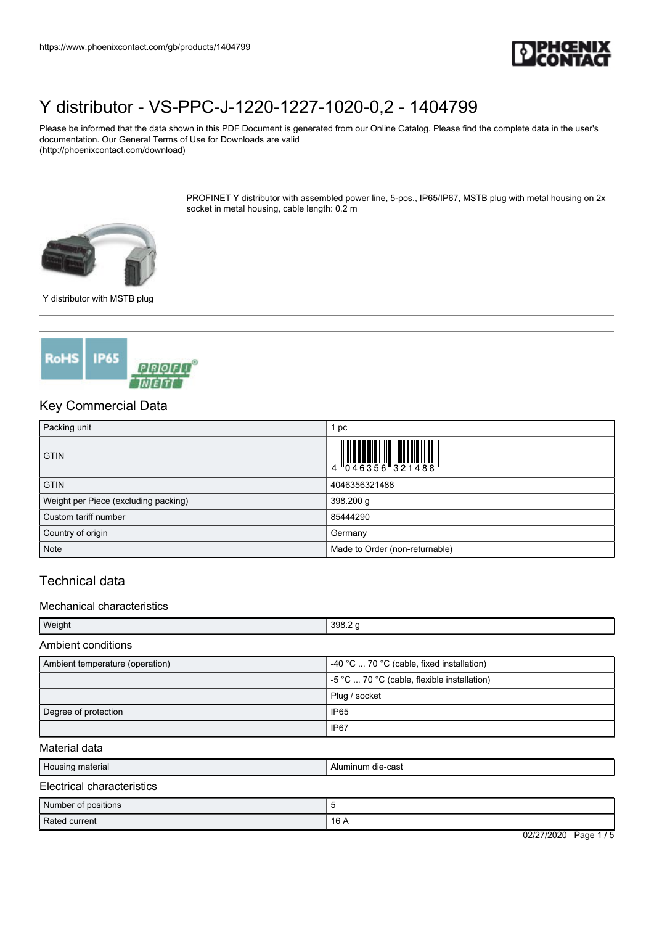

Please be informed that the data shown in this PDF Document is generated from our Online Catalog. Please find the complete data in the user's documentation. Our General Terms of Use for Downloads are valid (http://phoenixcontact.com/download)

> PROFINET Y distributor with assembled power line, 5-pos., IP65/IP67, MSTB plug with metal housing on 2x socket in metal housing, cable length: 0.2 m



Y distributor with MSTB plug



## Key Commercial Data

| Packing unit                         | 1 pc                                                                                                                                                                                                                                                                                                                                                            |
|--------------------------------------|-----------------------------------------------------------------------------------------------------------------------------------------------------------------------------------------------------------------------------------------------------------------------------------------------------------------------------------------------------------------|
| <b>GTIN</b>                          | $\begin{array}{c} 1 \\ 4 \end{array} \begin{array}{c} 1 \\ 0 \\ 4 \end{array} \begin{array}{c} 4 \\ 6 \end{array} \begin{array}{c} 3 \end{array} \begin{array}{c} 5 \end{array} \begin{array}{c} 6 \\ 3 \end{array} \begin{array}{c} 2 \end{array} \begin{array}{c} 1 \\ 4 \end{array} \begin{array}{c} 8 \\ 8 \end{array} \begin{array}{c} 1 \\ 8 \end{array}$ |
| <b>GTIN</b>                          | 4046356321488                                                                                                                                                                                                                                                                                                                                                   |
| Weight per Piece (excluding packing) | 398.200 g                                                                                                                                                                                                                                                                                                                                                       |
| Custom tariff number                 | 85444290                                                                                                                                                                                                                                                                                                                                                        |
| Country of origin                    | Germany                                                                                                                                                                                                                                                                                                                                                         |
| Note                                 | Made to Order (non-returnable)                                                                                                                                                                                                                                                                                                                                  |

### Technical data

#### Mechanical characteristics

| Weight | 398.2<br>$\sim$ |
|--------|-----------------|

#### Ambient conditions

| Ambient temperature (operation) | -40 °C $\ldots$ 70 °C (cable, fixed installation) |
|---------------------------------|---------------------------------------------------|
|                                 | $-5$ °C  70 °C (cable, flexible installation)     |
|                                 | Plug / socket                                     |
| Degree of protection            | <b>IP65</b>                                       |
|                                 | IP <sub>67</sub>                                  |

#### Material data

| Housing material                | Aluminum die-cast |
|---------------------------------|-------------------|
| Electrical<br>l characteristics |                   |

| Number of positions |                          |
|---------------------|--------------------------|
| Rated current       | 16 A                     |
|                     | 02/27/2020<br>Page 1 / 5 |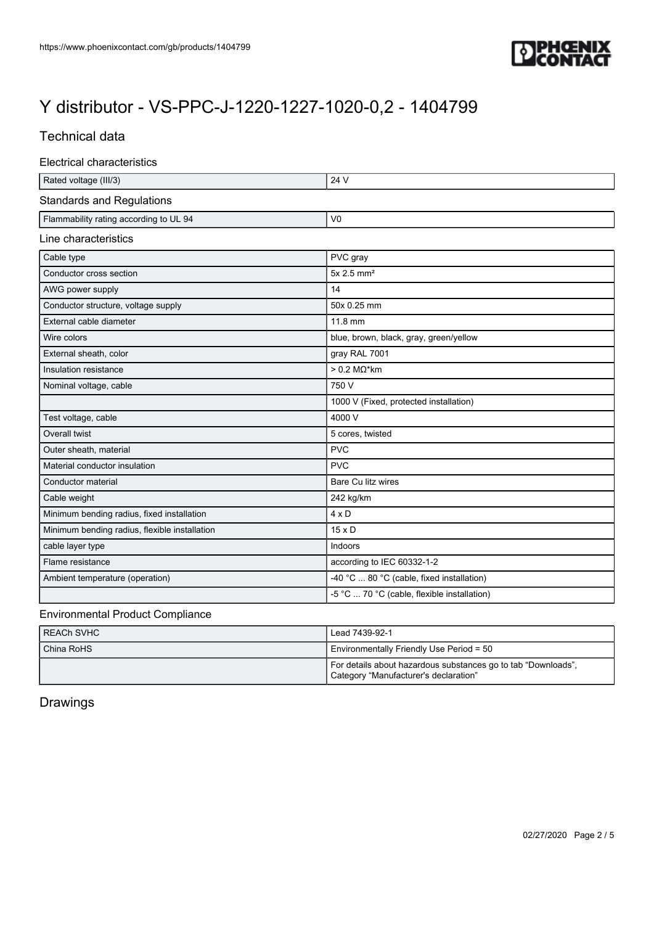

## Technical data

|  | Electrical characteristics |
|--|----------------------------|
|--|----------------------------|

| Rated voltage (III/3)                         | 24 V                                        |
|-----------------------------------------------|---------------------------------------------|
| <b>Standards and Regulations</b>              |                                             |
| Flammability rating according to UL 94        | V <sub>0</sub>                              |
| Line characteristics                          |                                             |
| Cable type                                    | PVC gray                                    |
| Conductor cross section                       | $5x$ 2.5 mm <sup>2</sup>                    |
| AWG power supply                              | 14                                          |
| Conductor structure, voltage supply           | 50x 0.25 mm                                 |
| External cable diameter                       | 11.8 mm                                     |
| Wire colors                                   | blue, brown, black, gray, green/yellow      |
| External sheath, color                        | gray RAL 7001                               |
| Insulation resistance                         | $> 0.2$ M $\Omega$ *km                      |
| Nominal voltage, cable                        | 750 V                                       |
|                                               | 1000 V (Fixed, protected installation)      |
| Test voltage, cable                           | 4000 V                                      |
| Overall twist                                 | 5 cores, twisted                            |
| Outer sheath, material                        | <b>PVC</b>                                  |
| Material conductor insulation                 | <b>PVC</b>                                  |
| Conductor material                            | Bare Cu litz wires                          |
| Cable weight                                  | 242 kg/km                                   |
| Minimum bending radius, fixed installation    | $4 \times D$                                |
| Minimum bending radius, flexible installation | $15 \times D$                               |
| cable layer type                              | Indoors                                     |
| Flame resistance                              | according to IEC 60332-1-2                  |
| Ambient temperature (operation)               | -40 °C  80 °C (cable, fixed installation)   |
|                                               | -5 °C  70 °C (cable, flexible installation) |

#### Environmental Product Compliance

| I REACh SVHC | Lead 7439-92-1                                                                                         |
|--------------|--------------------------------------------------------------------------------------------------------|
| China RoHS   | Environmentally Friendly Use Period = 50                                                               |
|              | For details about hazardous substances go to tab "Downloads",<br>Category "Manufacturer's declaration" |

# Drawings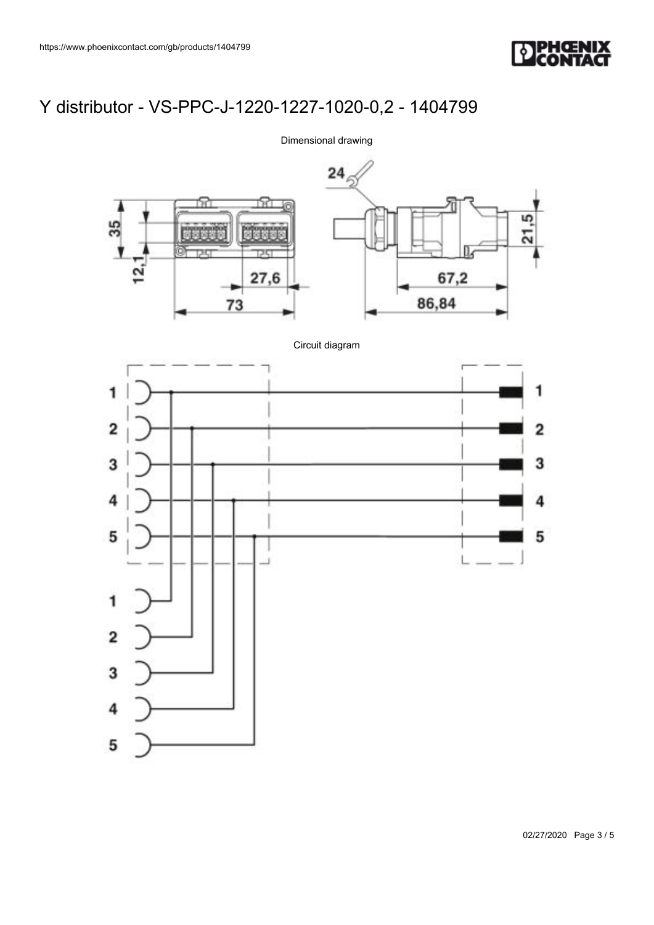



### Dimensional drawing

02/27/2020 Page 3 / 5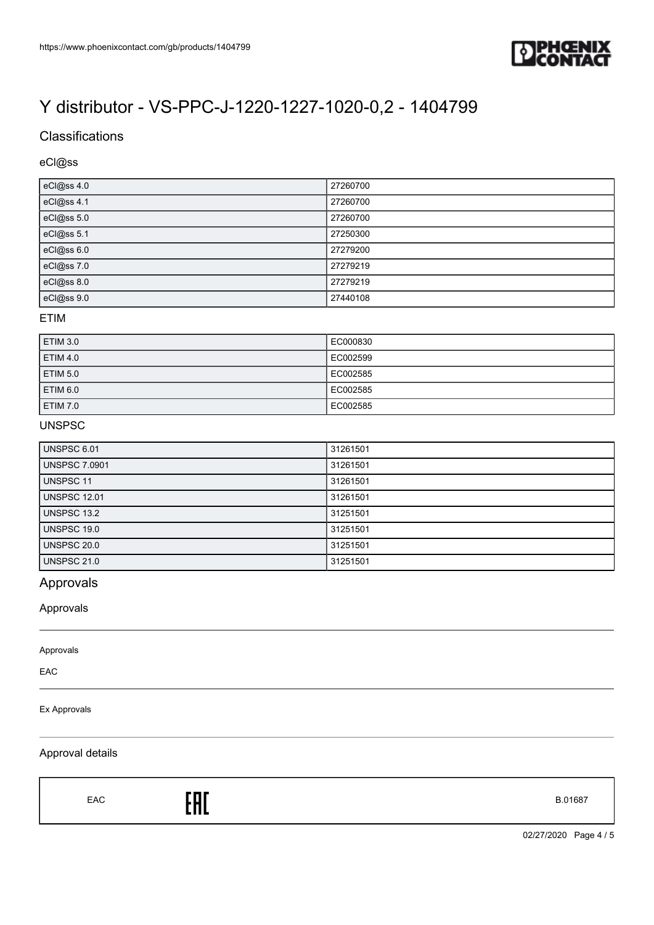

## **Classifications**

### eCl@ss

| eCl@ss 4.0 | 27260700 |
|------------|----------|
| eCl@ss 4.1 | 27260700 |
| eCl@ss 5.0 | 27260700 |
| eCl@ss 5.1 | 27250300 |
| eCl@ss 6.0 | 27279200 |
| eCl@ss 7.0 | 27279219 |
| eCl@ss 8.0 | 27279219 |
| eCl@ss 9.0 | 27440108 |

#### ETIM

| <b>ETIM 3.0</b> | EC000830 |
|-----------------|----------|
| <b>ETIM 4.0</b> | EC002599 |
| <b>ETIM 5.0</b> | EC002585 |
| ETIM 6.0        | EC002585 |
| <b>ETIM 7.0</b> | EC002585 |

#### UNSPSC

| <b>UNSPSC 6.01</b>   | 31261501 |
|----------------------|----------|
| <b>UNSPSC 7.0901</b> | 31261501 |
| UNSPSC 11            | 31261501 |
| <b>UNSPSC 12.01</b>  | 31261501 |
| UNSPSC 13.2          | 31251501 |
| UNSPSC 19.0          | 31251501 |
| <b>UNSPSC 20.0</b>   | 31251501 |
| <b>UNSPSC 21.0</b>   | 31251501 |

# Approvals

Approvals

#### Approvals

EAC

#### Ex Approvals

#### Approval details

EAC **ENT** 

02/27/2020 Page 4 / 5